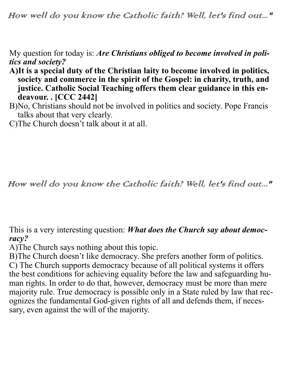How well do you know the Catholic faith? Well, let's find out..."

My question for today is: *Are Christians obliged to become involved in politics and society?*

- **A)It is a special duty of the Christian laity to become involved in politics, society and commerce in the spirit of the Gospel: in charity, truth, and justice. Catholic Social Teaching offers them clear guidance in this endeavour. . [CCC 2442]**
- B)No, Christians should not be involved in politics and society. Pope Francis talks about that very clearly.

C)The Church doesn't talk about it at all.

How well do you know the Catholic faith? Well, let's find out..."

This is a very interesting question: *What does the Church say about democracy?*

A)The Church says nothing about this topic.

B)The Church doesn't like democracy. She prefers another form of politics. C) The Church supports democracy because of all political systems it offers the best conditions for achieving equality before the law and safeguarding human rights. In order to do that, however, democracy must be more than mere majority rule. True democracy is possible only in a State ruled by law that recognizes the fundamental God-given rights of all and defends them, if necessary, even against the will of the majority.